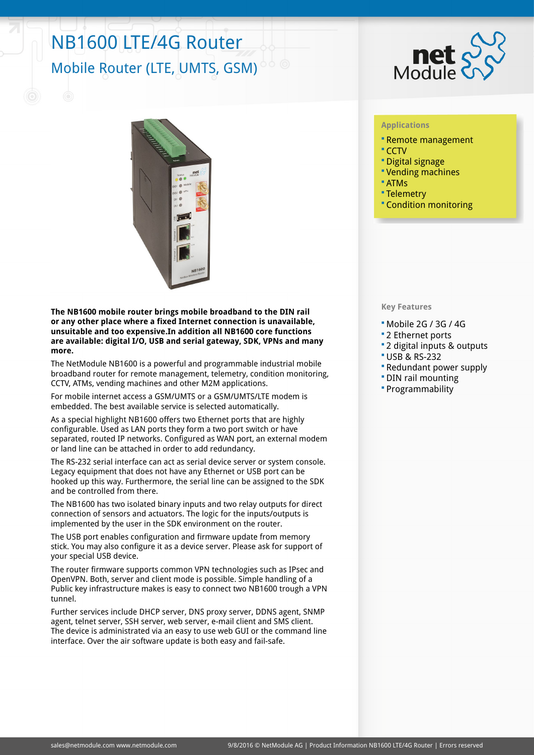## NB1600 LTE/4G Router Mobile Router (LTE, UMTS, GSM)



**The NB1600 mobile router brings mobile broadband to the DIN rail or any other place where a fixed Internet connection is unavailable, unsuitable and too expensive.In addition all NB1600 core functions are available: digital I/O, USB and serial gateway, SDK, VPNs and many more.**

The NetModule NB1600 is a powerful and programmable industrial mobile broadband router for remote management, telemetry, condition monitoring, CCTV, ATMs, vending machines and other M2M applications.

For mobile internet access a GSM/UMTS or a GSM/UMTS/LTE modem is embedded. The best available service is selected automatically.

As a special highlight NB1600 offers two Ethernet ports that are highly configurable. Used as LAN ports they form a two port switch or have separated, routed IP networks. Configured as WAN port, an external modem or land line can be attached in order to add redundancy.

The RS-232 serial interface can act as serial device server or system console. Legacy equipment that does not have any Ethernet or USB port can be hooked up this way. Furthermore, the serial line can be assigned to the SDK and be controlled from there.

The NB1600 has two isolated binary inputs and two relay outputs for direct connection of sensors and actuators. The logic for the inputs/outputs is implemented by the user in the SDK environment on the router.

The USB port enables configuration and firmware update from memory stick. You may also configure it as a device server. Please ask for support of your special USB device.

The router firmware supports common VPN technologies such as IPsec and OpenVPN. Both, server and client mode is possible. Simple handling of a Public key infrastructure makes is easy to connect two NB1600 trough a VPN tunnel.

Further services include DHCP server, DNS proxy server, DDNS agent, SNMP agent, telnet server, SSH server, web server, e-mail client and SMS client. The device is administrated via an easy to use web GUI or the command line interface. Over the air software update is both easy and fail-safe.



## **Applications**

- Remote management
- CCTV
- Digital signage
- Vending machines
- ATMs
- Telemetry
- Condition monitoring

## **Key Features**

- Mobile 2G / 3G / 4G
- 2 Ethernet ports
- 2 digital inputs & outputs
- USB & RS-232
- Redundant power supply
- DIN rail mounting
- Programmability